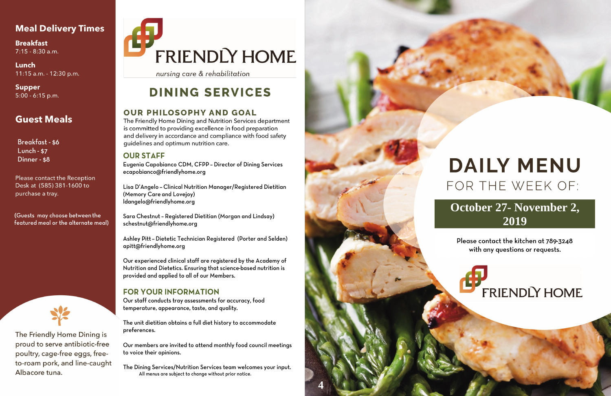#### **Meal Delivery Times**

**Breakfast**  $7:15 - 8:30$  a.m.

Lunch 11:15 a.m. - 12:30 p.m.

**Supper**  $5:00 - 6:15$  p.m.

#### **Guest Meals**

**Breakfast-\$6** Lunch -  $$7$ Dinner - \$8

Please contact the Reception Desk at (585) 381-1600 to purchase a tray.

(Guests may choose between the featured meal or the alternate meal)



The Friendly Home Dining is proud to serve antibiotic-free poultry, cage-free eggs, freeto-roam pork, and line-caught Albacore tuna.

# FRIENDLY HOME

nursing care & rehabilitation

## **DINING SERVICES**

#### **OUR PHILOSOPHY AND GOAL**

The Friendly Home Dining and Nutrition Services department is committed to providing excellence in food preparation and delivery in accordance and compliance with food safety guidelines and optimum nutrition care.

#### **OUR STAFF**

Eugenia Capobianco CDM, CFPP - Director of Dining Services ecapobianco@friendlyhome.org

Lisa D'Angelo - Clinical Nutrition Manager/Registered Dietitian (Memory Care and Lovejoy) ldangelo@friendlyhome.org

Sara Chestnut - Registered Dietitian (Morgan and Lindsay) schestnut@friendlyhome.org

Ashley Pitt - Dietetic Technician Registered (Porter and Selden) apitt@friendlyhome.org

Our experienced clinical staff are registered by the Academy of Nutrition and Dietetics. Ensuring that science-based nutrition is provided and applied to all of our Members.

#### **FOR YOUR INFORMATION**

Our staff conducts tray assessments for accuracy, food temperature, appearance, taste, and quality.

The unit dietitian obtains a full diet history to accommodate preferences.

Our members are invited to attend monthly food council meetings to voice their opinions.

The Dining Services/Nutrition Services team welcomes your input. All menus are subject to change without prior notice.



## **DAILY MENU** FOR THE WEEK OF:

### October 27- November 2, 2019

Please contact the kitchen at 789-3248 with any questions or requests.